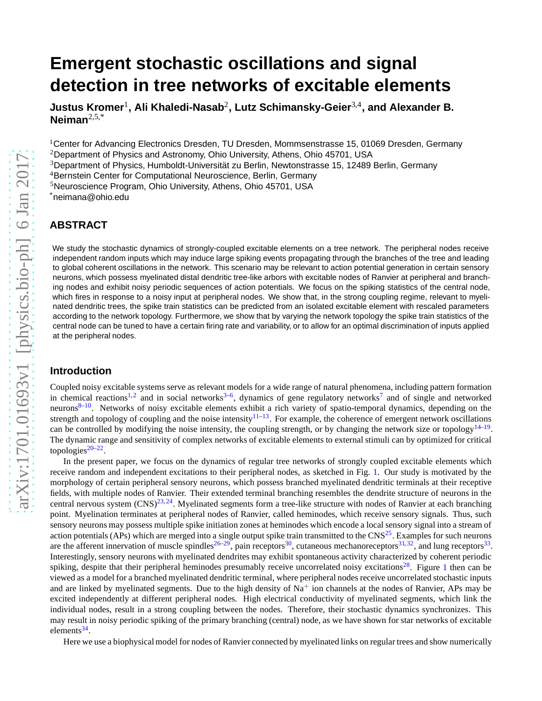# **Emergent stochastic oscillations and signal detection in tree networks of excitable elements**

**Justus Kromer**<sup>1</sup> **, Ali Khaledi-Nasab**<sup>2</sup> **, Lutz Schimansky-Geier**3,4**, and Alexander B. Neiman**2,5,\*

 $1$ Center for Advancing Electronics Dresden, TU Dresden, Mommsenstrasse 15, 01069 Dresden, Germany

<sup>2</sup>Department of Physics and Astronomy, Ohio University, Athens, Ohio 45701, USA

 $3$ Department of Physics, Humboldt-Universität zu Berlin, Newtonstrasse 15, 12489 Berlin, Germany

<sup>4</sup>Bernstein Center for Computational Neuroscience, Berlin, Germany

<sup>5</sup>Neuroscience Program, Ohio University, Athens, Ohio 45701, USA

\*neimana@ohio.edu

# **ABSTRACT**

We study the stochastic dynamics of strongly-coupled excitable elements on a tree network. The peripheral nodes receive independent random inputs which may induce large spiking events propagating through the branches of the tree and leading to global coherent oscillations in the network. This scenario may be relevant to action potential generation in certain sensory neurons, which possess myelinated distal dendritic tree-like arbors with excitable nodes of Ranvier at peripheral and branching nodes and exhibit noisy periodic sequences of action potentials. We focus on the spiking statistics of the central node, which fires in response to a noisy input at peripheral nodes. We show that, in the strong coupling regime, relevant to myelinated dendritic trees, the spike train statistics can be predicted from an isolated excitable element with rescaled parameters according to the network topology. Furthermore, we show that by varying the network topology the spike train statistics of the central node can be tuned to have a certain firing rate and variability, or to allow for an optimal discrimination of inputs applied at the peripheral nodes.

## **Introduction**

Coupled noisy excitable systems serve as relevant models for a wide range of natural phenomena, including pattern formation in chemical reactions<sup>[1,](#page-11-0)[2](#page-11-1)</sup> and in social networks<sup>[3–](#page-11-2)[6](#page-11-3)</sup>, dynamics of gene regulatory networks<sup>[7](#page-11-4)</sup> and of single and networked neurons<sup>[8–](#page-11-5)[10](#page-11-6)</sup>. Networks of noisy excitable elements exhibit a rich variety of spatio-temporal dynamics, depending on the strength and topology of coupling and the noise intensity  $11-13$  $11-13$ . For example, the coherence of emergent network oscillations can be controlled by modifying the noise intensity, the coupling strength, or by changing the network size or topology<sup>[14–](#page-11-9)[19](#page-11-10)</sup>. The dynamic range and sensitivity of complex networks of excitable elements to external stimuli can by optimized for critical topologies<sup>[20–](#page-11-11)[22](#page-11-12)</sup>.

In the present paper, we focus on the dynamics of regular tree networks of strongly coupled excitable elements which receive random and independent excitations to their peripheral nodes, as sketched in Fig. [1.](#page-1-0) Our study is motivated by the morphology of certain peripheral sensory neurons, which possess branched myelinated dendritic terminals at their receptive fields, with multiple nodes of Ranvier. Their extended terminal branching resembles the dendrite structure of neurons in the central nervous system  $(CNS)^{23,24}$  $(CNS)^{23,24}$  $(CNS)^{23,24}$  $(CNS)^{23,24}$ . Myelinated segments form a tree-like structure with nodes of Ranvier at each branching point. Myelination terminates at peripheral nodes of Ranvier, called heminodes, which receive sensory signals. Thus, such sensory neurons may possess multiple spike initiation zones at heminodes which encode a local sensory signal into a stream of action potentials (APs) which are merged into a single output spike train transmitted to the  $CNS<sup>25</sup>$  $CNS<sup>25</sup>$  $CNS<sup>25</sup>$ . Examples for such neurons are the afferent innervation of muscle spindles<sup>[26–](#page-11-16)[29](#page-12-0)</sup>, pain receptors<sup>[30](#page-12-1)</sup>, cutaneous mechanoreceptors<sup>[31,](#page-12-2)[32](#page-12-3)</sup>, and lung receptors<sup>[33](#page-12-4)</sup>. Interestingly, sensory neurons with myelinated dendrites may exhibit spontaneous activity characterized by coherent periodic spiking, despite that their peripheral heminodes presumably receive uncorrelated noisy excitations<sup>[28](#page-12-5)</sup>. Figure [1](#page-1-0) then can be viewed as a model for a branched myelinated dendritic terminal, where peripheral nodes receive uncorrelated stochastic inputs and are linked by myelinated segments. Due to the high density of  $Na<sup>+</sup>$  ion channels at the nodes of Ranvier, APs may be excited independently at different peripheral nodes. High electrical conductivity of myelinated segments, which link the individual nodes, result in a strong coupling between the nodes. Therefore, their stochastic dynamics synchronizes. This may result in noisy periodic spiking of the primary branching (central) node, as we have shown for star networks of excitable elements<sup>[34](#page-12-6)</sup>.

Here we use a biophysical model for nodes of Ranvier connected by myelinated links on regular trees and show numerically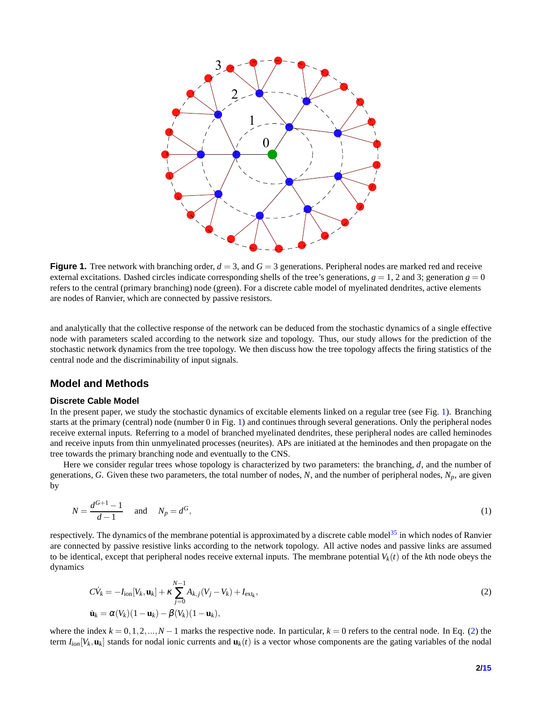<span id="page-1-0"></span>

**Figure 1.** Tree network with branching order,  $d = 3$ , and  $G = 3$  generations. Peripheral nodes are marked red and receive external excitations. Dashed circles indicate corresponding shells of the tree's generations,  $g = 1$ , 2 and 3; generation  $g = 0$ refers to the central (primary branching) node (green). For a discrete cable model of myelinated dendrites, active elements are nodes of Ranvier, which are connected by passive resistors.

and analytically that the collective response of the network can be deduced from the stochastic dynamics of a single effective node with parameters scaled according to the network size and topology. Thus, our study allows for the prediction of the stochastic network dynamics from the tree topology. We then discuss how the tree topology affects the firing statistics of the central node and the discriminability of input signals.

# **Model and Methods**

## **Discrete Cable Model**

In the present paper, we study the stochastic dynamics of excitable elements linked on a regular tree (see Fig. [1\)](#page-1-0). Branching starts at the primary (central) node (number 0 in Fig. [1\)](#page-1-0) and continues through several generations. Only the peripheral nodes receive external inputs. Referring to a model of branched myelinated dendrites, these peripheral nodes are called heminodes and receive inputs from thin unmyelinated processes (neurites). APs are initiated at the heminodes and then propagate on the tree towards the primary branching node and eventually to the CNS.

Here we consider regular trees whose topology is characterized by two parameters: the branching, *d*, and the number of generations, *G*. Given these two parameters, the total number of nodes, *N*, and the number of peripheral nodes, *Np*, are given by

$$
N = \frac{d^{G+1} - 1}{d - 1} \quad \text{and} \quad N_p = d^G,
$$
 (1)

respectively. The dynamics of the membrane potential is approximated by a discrete cable model<sup>[35](#page-12-7)</sup> in which nodes of Ranvier are connected by passive resistive links according to the network topology. All active nodes and passive links are assumed to be identical, except that peripheral nodes receive external inputs. The membrane potential  $V_k(t)$  of the  $k$ th node obeys the dynamics

<span id="page-1-1"></span>
$$
C\dot{V}_k = -I_{\text{ion}}[V_k, \mathbf{u}_k] + \kappa \sum_{j=0}^{N-1} A_{k,j}(V_j - V_k) + I_{\text{ext}_k},
$$
  

$$
\dot{\mathbf{u}}_k = \alpha(V_k)(1 - \mathbf{u}_k) - \beta(V_k)(1 - \mathbf{u}_k),
$$
\n(2)

where the index  $k = 0, 1, 2, ..., N - 1$  marks the respective node. In particular,  $k = 0$  refers to the central node. In Eq. [\(2\)](#page-1-1) the term *Iion*[*V<sup>k</sup>* ,**u***<sup>k</sup>* ] stands for nodal ionic currents and **u***k*(*t*) is a vector whose components are the gating variables of the nodal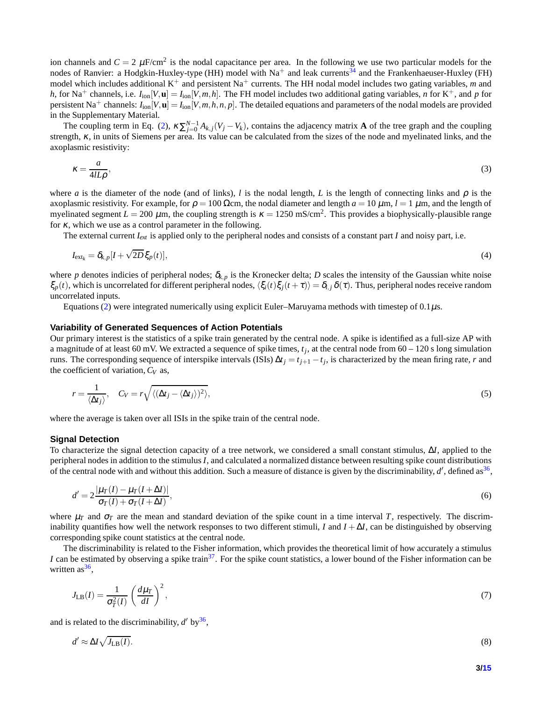ion channels and  $C = 2 \mu$ F/cm<sup>2</sup> is the nodal capacitance per area. In the following we use two particular models for the nodes of Ranvier: a Hodgkin-Huxley-type (HH) model with  $Na^+$  and leak currents<sup>[34](#page-12-6)</sup> and the Frankenhaeuser-Huxley (FH) model which includes additional K<sup>+</sup> and persistent Na<sup>+</sup> currents. The HH nodal model includes two gating variables, *m* and *h*, for Na<sup>+</sup> channels, i.e.  $I_{\text{ion}}[V, \mathbf{u}] = I_{\text{ion}}[V, m, h]$ . The FH model includes two additional gating variables, *n* for K<sup>+</sup>, and *p* for persistent Na<sup>+</sup> channels:  $I_{\text{ion}}[V, \mathbf{u}] = I_{\text{ion}}[V, m, h, n, p]$ . The detailed equations and parameters of the nodal models are provided in the Supplementary Material.

The coupling term in Eq. [\(2\)](#page-1-1),  $\kappa \sum_{j=0}^{N-1} A_{k,j} (V_j - V_k)$ , contains the adjacency matrix **A** of the tree graph and the coupling strength, <sup>κ</sup>, in units of Siemens per area. Its value can be calculated from the sizes of the node and myelinated links, and the axoplasmic resistivity:

<span id="page-2-3"></span>
$$
\kappa = \frac{a}{4lL\rho},\tag{3}
$$

where *a* is the diameter of the node (and of links), *l* is the nodal length, *L* is the length of connecting links and  $\rho$  is the axoplasmic resistivity. For example, for  $\rho = 100 \Omega$ cm, the nodal diameter and length  $a = 10 \mu$ m,  $l = 1 \mu$ m, and the length of myelinated segment  $L = 200 \ \mu$ m, the coupling strength is  $\kappa = 1250 \text{ mS/cm}^2$ . This provides a biophysically-plausible range for <sup>κ</sup>, which we use as a control parameter in the following.

The external current  $I_{ext}$  is applied only to the peripheral nodes and consists of a constant part *I* and noisy part, i.e.

<span id="page-2-2"></span>
$$
I_{\text{ext}_k} = \delta_{k,p} [I + \sqrt{2D} \xi_p(t)], \qquad (4)
$$

where *p* denotes indicies of peripheral nodes;  $\delta_{k,p}$  is the Kronecker delta; *D* scales the intensity of the Gaussian white noise ξ<sub>*p*</sub>(*t*), which is uncorrelated for different peripheral nodes,  $\langle \xi_i(t)\xi_j(t+\tau)\rangle = \delta_{i,j}\delta(\tau)$ . Thus, peripheral nodes receive random uncorrelated inputs.

Equations [\(2\)](#page-1-1) were integrated numerically using explicit Euler–Maruyama methods with timestep of 0.1µs.

#### **Variability of Generated Sequences of Action Potentials**

Our primary interest is the statistics of a spike train generated by the central node. A spike is identified as a full-size AP with a magnitude of at least 60 mV. We extracted a sequence of spike times, *t<sup>j</sup>* , at the central node from 60 – 120 s long simulation runs. The corresponding sequence of interspike intervals (ISIs)  $\Delta t_j = t_{j+1} - t_j$ , is characterized by the mean firing rate, *r* and the coefficient of variation, *C<sup>V</sup>* as,

$$
r = \frac{1}{\langle \Delta t_j \rangle}, \quad C_V = r \sqrt{\langle (\Delta t_j - \langle \Delta t_j \rangle)^2 \rangle}, \tag{5}
$$

where the average is taken over all ISIs in the spike train of the central node.

#### **Signal Detection**

To characterize the signal detection capacity of a tree network, we considered a small constant stimulus, ∆*I*, applied to the peripheral nodes in addition to the stimulus *I*, and calculated a normalized distance between resulting spike count distributions of the central node with and without this addition. Such a measure of distance is given by the discriminability,  $d'$ , defined as  $36$ ,

<span id="page-2-0"></span>
$$
d' = 2\frac{|\mu_T(I) - \mu_T(I + \Delta I)|}{\sigma_T(I) + \sigma_T(I + \Delta I)},
$$
\n(6)

where  $\mu_T$  and  $\sigma_T$  are the mean and standard deviation of the spike count in a time interval *T*, respectively. The discriminability quantifies how well the network responses to two different stimuli, *I* and  $I + \Delta I$ , can be distinguished by observing corresponding spike count statistics at the central node.

The discriminability is related to the Fisher information, which provides the theoretical limit of how accurately a stimulus *I* can be estimated by observing a spike train<sup>[37](#page-12-9)</sup>. For the spike count statistics, a lower bound of the Fisher information can be written as<sup>[36](#page-12-8)</sup>,

<span id="page-2-1"></span>
$$
J_{\text{LB}}(I) = \frac{1}{\sigma_T^2(I)} \left(\frac{d\mu_T}{dI}\right)^2,\tag{7}
$$

and is related to the discriminability,  $d'$  by  $36$ ,

$$
d' \approx \Delta I \sqrt{J_{\rm LB}(I)}.\tag{8}
$$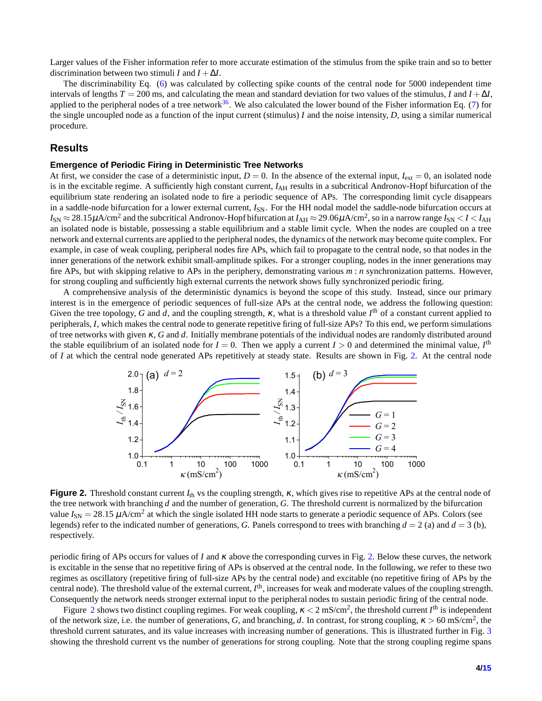Larger values of the Fisher information refer to more accurate estimation of the stimulus from the spike train and so to better discrimination between two stimuli *I* and  $I + \Delta I$ .

The discriminability Eq. [\(6\)](#page-2-0) was calculated by collecting spike counts of the central node for 5000 independent time intervals of lengths  $T = 200$  ms, and calculating the mean and standard deviation for two values of the stimulus, *I* and  $I + \Delta I$ , applied to the peripheral nodes of a tree network<sup>[36](#page-12-8)</sup>. We also calculated the lower bound of the Fisher information Eq. [\(7\)](#page-2-1) for the single uncoupled node as a function of the input current (stimulus) *I* and the noise intensity, *D*, using a similar numerical procedure.

## **Results**

#### **Emergence of Periodic Firing in Deterministic Tree Networks**

At first, we consider the case of a deterministic input,  $D = 0$ . In the absence of the external input,  $I_{ext} = 0$ , an isolated node is in the excitable regime. A sufficiently high constant current,  $I_{AH}$  results in a subcritical Andronov-Hopf bifurcation of the equilibrium state rendering an isolated node to fire a periodic sequence of APs. The corresponding limit cycle disappears in a saddle-node bifurcation for a lower external current,  $I_{SN}$ . For the HH nodal model the saddle-node bifurcation occurs at  $I_{\rm SN}$   $\approx$  28.15 $\mu$ A/cm<sup>2</sup> and the subcritical Andronov-Hopf bifurcation at  $I_{\rm AH}$   $\approx$  29.06 $\mu$ A/cm<sup>2</sup>, so in a narrow range  $I_{\rm SN}$  < *I* < *I*<sub>AH</sub> an isolated node is bistable, possessing a stable equilibrium and a stable limit cycle. When the nodes are coupled on a tree network and external currents are applied to the peripheral nodes, the dynamics of the network may become quite complex. For example, in case of weak coupling, peripheral nodes fire APs, which fail to propagate to the central node, so that nodes in the inner generations of the network exhibit small-amplitude spikes. For a stronger coupling, nodes in the inner generations may fire APs, but with skipping relative to APs in the periphery, demonstrating various *m* : *n* synchronization patterns. However, for strong coupling and sufficiently high external currents the network shows fully synchronized periodic firing.

A comprehensive analysis of the deterministic dynamics is beyond the scope of this study. Instead, since our primary interest is in the emergence of periodic sequences of full-size APs at the central node, we address the following question: Given the tree topology, G and d, and the coupling strength,  $\kappa$ , what is a threshold value  $I^{\text{th}}$  of a constant current applied to peripherals, *I*, which makes the central node to generate repetitive firing of full-size APs? To this end, we perform simulations of tree networks with given <sup>κ</sup>, *G* and *d*. Initially membrane potentials of the individual nodes are randomly distributed around the stable equilibrium of an isolated node for  $I = 0$ . Then we apply a current  $I > 0$  and determined the minimal value,  $I<sup>th</sup>$ of *I* at which the central node generated APs repetitively at steady state. Results are shown in Fig. [2.](#page-3-0) At the central node

<span id="page-3-0"></span>

**Figure 2.** Threshold constant current *I*th vs the coupling strength, <sup>κ</sup>, which gives rise to repetitive APs at the central node of the tree network with branching *d* and the number of generation, *G*. The threshold current is normalized by the bifurcation value  $I_{SN} = 28.15 \mu A/cm^2$  at which the single isolated HH node starts to generate a periodic sequence of APs. Colors (see legends) refer to the indicated number of generations, *G*. Panels correspond to trees with branching  $d = 2$  (a) and  $d = 3$  (b), respectively.

periodic firing of APs occurs for values of *I* and <sup>κ</sup> above the corresponding curves in Fig. [2.](#page-3-0) Below these curves, the network is excitable in the sense that no repetitive firing of APs is observed at the central node. In the following, we refer to these two regimes as oscillatory (repetitive firing of full-size APs by the central node) and excitable (no repetitive firing of APs by the central node). The threshold value of the external current, *I*<sup>th</sup>, increases for weak and moderate values of the coupling strength. Consequently the network needs stronger external input to the peripheral nodes to sustain periodic firing of the central node.

Figure [2](#page-3-0) shows two distinct coupling regimes. For weak coupling,  $\kappa < 2$  mS/cm<sup>2</sup>, the threshold current  $I^{\text{th}}$  is independent of the network size, i.e. the number of generations, *G*, and branching, *d*. In contrast, for strong coupling, <sup>κ</sup> > 60 mS/cm<sup>2</sup> , the threshold current saturates, and its value increases with increasing number of generations. This is illustrated further in Fig. [3](#page-4-0) showing the threshold current vs the number of generations for strong coupling. Note that the strong coupling regime spans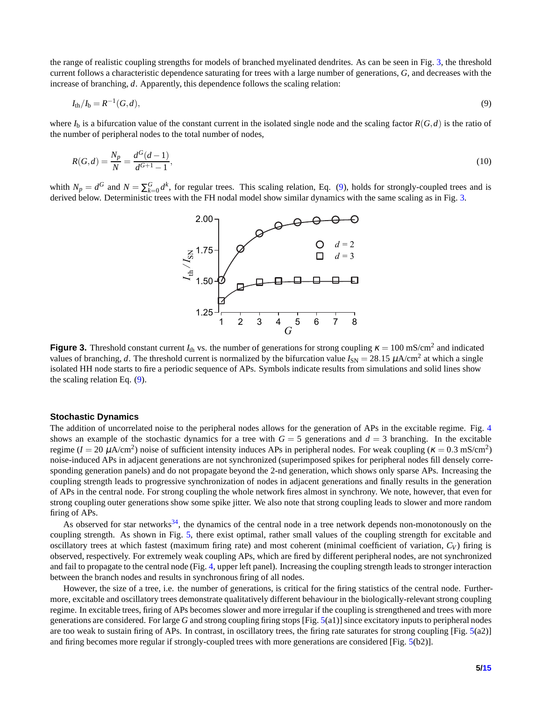the range of realistic coupling strengths for models of branched myelinated dendrites. As can be seen in Fig. [3,](#page-4-0) the threshold current follows a characteristic dependence saturating for trees with a large number of generations, *G*, and decreases with the increase of branching, *d*. Apparently, this dependence follows the scaling relation:

<span id="page-4-1"></span>
$$
I_{\text{th}}/I_{\text{b}} = R^{-1}(G, d),\tag{9}
$$

where  $I<sub>b</sub>$  is a bifurcation value of the constant current in the isolated single node and the scaling factor  $R(G,d)$  is the ratio of the number of peripheral nodes to the total number of nodes,

$$
R(G,d) = \frac{N_p}{N} = \frac{d^G(d-1)}{d^{G+1}-1},\tag{10}
$$

<span id="page-4-0"></span>whith  $N_p = d^G$  and  $N = \sum_{k=0}^G d^k$ , for regular trees. This scaling relation, Eq. [\(9\)](#page-4-1), holds for strongly-coupled trees and is derived below. Deterministic trees with the FH nodal model show similar dynamics with the same scaling as in Fig. [3.](#page-4-0)

<span id="page-4-2"></span>

**Figure 3.** Threshold constant current  $I_{th}$  vs. the number of generations for strong coupling  $\kappa = 100$  mS/cm<sup>2</sup> and indicated values of branching, *d*. The threshold current is normalized by the bifurcation value  $I_{SN} = 28.15 \mu A/cm^2$  at which a single isolated HH node starts to fire a periodic sequence of APs. Symbols indicate results from simulations and solid lines show the scaling relation Eq. [\(9\)](#page-4-1).

#### **Stochastic Dynamics**

The addition of uncorrelated noise to the peripheral nodes allows for the generation of APs in the excitable regime. Fig. [4](#page-5-0) shows an example of the stochastic dynamics for a tree with  $G = 5$  generations and  $d = 3$  branching. In the excitable regime ( $I = 20 \mu A/cm^2$ ) noise of sufficient intensity induces APs in peripheral nodes. For weak coupling ( $\kappa = 0.3 \text{ mS/cm}^2$ ) noise-induced APs in adjacent generations are not synchronized (superimposed spikes for peripheral nodes fill densely corresponding generation panels) and do not propagate beyond the 2-nd generation, which shows only sparse APs. Increasing the coupling strength leads to progressive synchronization of nodes in adjacent generations and finally results in the generation of APs in the central node. For strong coupling the whole network fires almost in synchrony. We note, however, that even for strong coupling outer generations show some spike jitter. We also note that strong coupling leads to slower and more random firing of APs.

As observed for star networks<sup>[34](#page-12-6)</sup>, the dynamics of the central node in a tree network depends non-monotonously on the coupling strength. As shown in Fig. [5,](#page-6-0) there exist optimal, rather small values of the coupling strength for excitable and oscillatory trees at which fastest (maximum firing rate) and most coherent (minimal coefficient of variation,  $C_V$ ) firing is observed, respectively. For extremely weak coupling APs, which are fired by different peripheral nodes, are not synchronized and fail to propagate to the central node (Fig. [4,](#page-5-0) upper left panel). Increasing the coupling strength leads to stronger interaction between the branch nodes and results in synchronous firing of all nodes.

However, the size of a tree, i.e. the number of generations, is critical for the firing statistics of the central node. Furthermore, excitable and oscillatory trees demonstrate qualitatively different behaviour in the biologically-relevant strong coupling regime. In excitable trees, firing of APs becomes slower and more irregular if the coupling is strengthened and trees with more generations are considered. For large *G* and strong coupling firing stops [Fig. [5\(](#page-6-0)a1)] since excitatory inputs to peripheral nodes are too weak to sustain firing of APs. In contrast, in oscillatory trees, the firing rate saturates for strong coupling [Fig.  $5(a2)$  $5(a2)$ ] and firing becomes more regular if strongly-coupled trees with more generations are considered [Fig. [5\(](#page-6-0)b2)].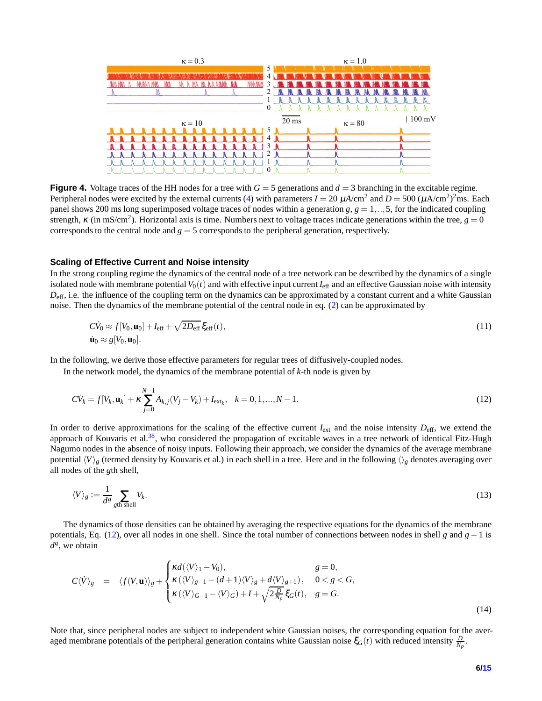<span id="page-5-0"></span>

**Figure 4.** Voltage traces of the HH nodes for a tree with  $G = 5$  generations and  $d = 3$  branching in the excitable regime. Peripheral nodes were excited by the external currents [\(4\)](#page-2-2) with parameters  $I = 20 \ \mu A/cm^2$  and  $D = 500 \ (\mu A/cm^2)^2$ ms. Each panel shows 200 ms long superimposed voltage traces of nodes within a generation  $g, g = 1, \ldots, 5$ , for the indicated coupling strength,  $\kappa$  (in mS/cm<sup>2</sup>). Horizontal axis is time. Numbers next to voltage traces indicate generations within the tree,  $g = 0$ corresponds to the central node and *g* = 5 corresponds to the peripheral generation, respectively.

#### **Scaling of Effective Current and Noise intensity**

In the strong coupling regime the dynamics of the central node of a tree network can be described by the dynamics of a single isolated node with membrane potential  $V_0(t)$  and with effective input current  $I_{\text{eff}}$  and an effective Gaussian noise with intensity  $D_{\text{eff}}$ , i.e. the influence of the coupling term on the dynamics can be approximated by a constant current and a white Gaussian noise. Then the dynamics of the membrane potential of the central node in eq. [\(2\)](#page-1-1) can be approximated by

<span id="page-5-3"></span>
$$
C\dot{V}_0 \approx f[V_0, \mathbf{u}_0] + I_{\text{eff}} + \sqrt{2D_{\text{eff}}}\,\xi_{\text{eff}}(t),
$$
  

$$
\dot{\mathbf{u}}_0 \approx g[V_0, \mathbf{u}_0].
$$
 (11)

In the following, we derive those effective parameters for regular trees of diffusively-coupled nodes.

In the network model, the dynamics of the membrane potential of *k*-th node is given by

<span id="page-5-1"></span>
$$
C\dot{V}_k = f[V_k, \mathbf{u}_k] + \kappa \sum_{j=0}^{N-1} A_{k,j}(V_j - V_k) + I_{\text{ext}_k}, \quad k = 0, 1, ..., N-1.
$$
\n(12)

In order to derive approximations for the scaling of the effective current *I*<sub>ext</sub> and the noise intensity  $D_{\text{eff}}$ , we extend the approach of Kouvaris et al.<sup>[38](#page-12-10)</sup>, who considered the propagation of excitable waves in a tree network of identical Fitz-Hugh Nagumo nodes in the absence of noisy inputs. Following their approach, we consider the dynamics of the average membrane potential  $\langle V \rangle_g$  (termed density by Kouvaris et al.) in each shell in a tree. Here and in the following  $\langle V \rangle_g$  denotes averaging over all nodes of the *g*th shell,

$$
\langle V \rangle_g := \frac{1}{d^g} \sum_{\text{gth shell}} V_k. \tag{13}
$$

The dynamics of those densities can be obtained by averaging the respective equations for the dynamics of the membrane potentials, Eq. [\(12\)](#page-5-1), over all nodes in one shell. Since the total number of connections between nodes in shell *g* and *g*−1 is  $d^g$ , we obtain

<span id="page-5-2"></span>
$$
C\langle \dot{V} \rangle_{g} = \langle f(V, \mathbf{u}) \rangle_{g} + \begin{cases} \kappa d(\langle V \rangle_{1} - V_{0}), & g = 0, \\ \kappa(\langle V \rangle_{g-1} - (d+1)\langle V \rangle_{g} + d\langle V \rangle_{g+1}), & 0 < g < G, \\ \kappa(\langle V \rangle_{G-1} - \langle V \rangle_{G}) + I + \sqrt{2\frac{D}{N_{p}}} \xi_{G}(t), & g = G. \end{cases}
$$
\n(14)

Note that, since peripheral nodes are subject to independent white Gaussian noises, the corresponding equation for the averaged membrane potentials of the peripheral generation contains white Gaussian noise  $\xi_G(t)$  with reduced intensity  $\frac{D}{N_p}$ .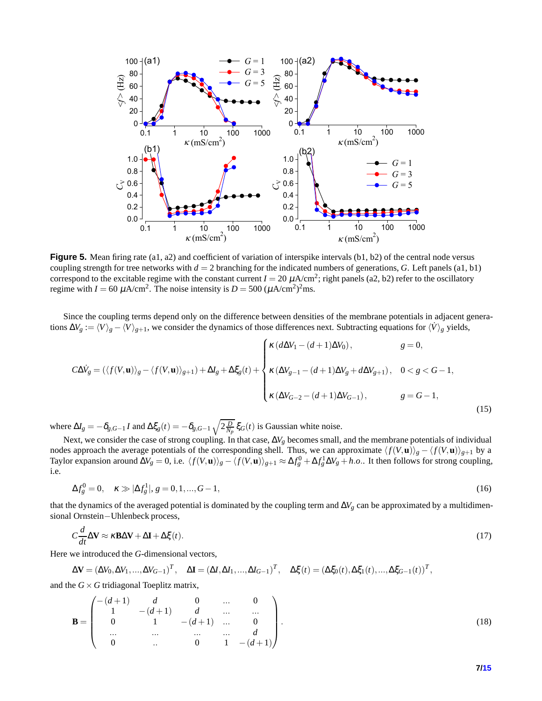<span id="page-6-0"></span>

**Figure 5.** Mean firing rate (a1, a2) and coefficient of variation of interspike intervals (b1, b2) of the central node versus coupling strength for tree networks with  $d = 2$  branching for the indicated numbers of generations, *G*. Left panels (a1, b1) correspond to the excitable regime with the constant current  $I = 20 \mu A/cm^2$ ; right panels (a2, b2) refer to the oscillatory regime with  $I = 60 \mu A/cm^2$ . The noise intensity is  $D = 500 (\mu A/cm^2)^2$ ms.

Since the coupling terms depend only on the difference between densities of the membrane potentials in adjacent generations  $\Delta V_g := \langle V \rangle_g - \langle V \rangle_{g+1}$ , we consider the dynamics of those differences next. Subtracting equations for  $\langle V \rangle_g$  yields,

$$
C\Delta V_g = (\langle f(V, \mathbf{u}) \rangle_g - \langle f(V, \mathbf{u}) \rangle_{g+1}) + \Delta I_g + \Delta \xi_g(t) + \begin{cases} \kappa (d\Delta V_1 - (d+1)\Delta V_0), & g = 0, \\ \kappa (\Delta V_{g-1} - (d+1)\Delta V_g + d\Delta V_{g+1}), & 0 < g < G-1, \\ \kappa (\Delta V_{G-2} - (d+1)\Delta V_{G-1}), & g = G-1, \end{cases}
$$
\n(15)

where  $\Delta I_g = -\delta_{g,G-1} I$  and  $\Delta \xi_g(t) = -\delta_{g,G-1} \sqrt{2\frac{D}{N_p}} \xi_G(t)$  is Gaussian white noise.

Next, we consider the case of strong coupling. In that case, Δ*V<sub>g</sub>* becomes small, and the membrane potentials of individual nodes approach the average potentials of the corresponding shell. Thus, we can approximate  $\langle f(V, \mathbf{u}) \rangle_{g} - \langle f(V, \mathbf{u}) \rangle_{g+1}$  by a Taylor expansion around  $\Delta V_g = 0$ , i.e.  $\langle f(V, \mathbf{u}) \rangle_g - \langle f(V, \mathbf{u}) \rangle_{g+1} \approx \Delta f_g^0 + \Delta f_g^1 \Delta V_g + h.o.$  It then follows for strong coupling, i.e.

<span id="page-6-1"></span>
$$
\Delta f_g^0 = 0, \quad \kappa \gg |\Delta f_g^1|, g = 0, 1, ..., G - 1,\tag{16}
$$

that the dynamics of the averaged potential is dominated by the coupling term and  $\Delta V_g$  can be approximated by a multidimensional Ornstein−Uhlenbeck process,

<span id="page-6-2"></span>
$$
C\frac{d}{dt}\Delta \mathbf{V} \approx \kappa \mathbf{B} \Delta \mathbf{V} + \Delta \mathbf{I} + \Delta \xi(t). \tag{17}
$$

Here we introduced the *G*-dimensional vectors,

$$
\Delta \mathbf{V} = (\Delta V_0, \Delta V_1, \dots, \Delta V_{G-1})^T, \quad \Delta \mathbf{I} = (\Delta I, \Delta I_1, \dots, \Delta I_{G-1})^T, \quad \Delta \xi(t) = (\Delta \xi_0(t), \Delta \xi_1(t), \dots, \Delta \xi_{G-1}(t))^T,
$$

and the  $G \times G$  tridiagonal Toeplitz matrix,

$$
\mathbf{B} = \begin{pmatrix} -(d+1) & d & 0 & \dots & 0 \\ 1 & -(d+1) & d & \dots & \dots \\ 0 & 1 & -(d+1) & \dots & 0 \\ \dots & \dots & \dots & \dots & d \\ 0 & \dots & 0 & 1 & -(d+1) \end{pmatrix}.
$$
 (18)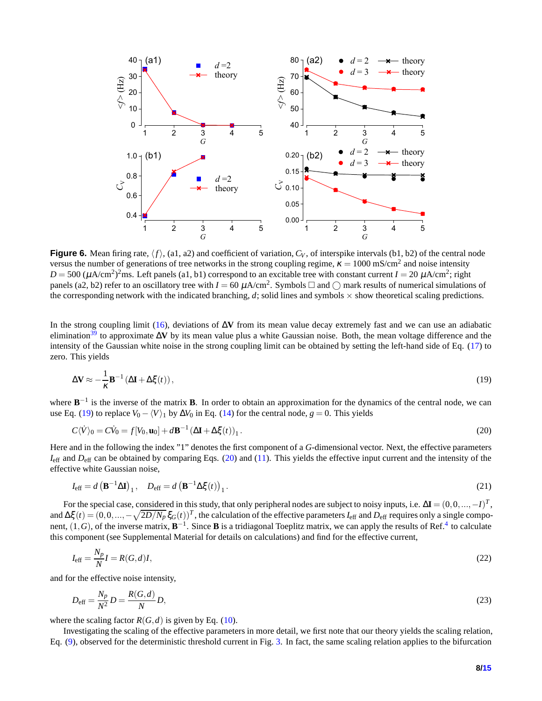<span id="page-7-4"></span>

**Figure 6.** Mean firing rate,  $\langle f \rangle$ , (a1, a2) and coefficient of variation,  $C_V$ , of interspike intervals (b1, b2) of the central node versus the number of generations of tree networks in the strong coupling regime,  $\kappa = 1000$  mS/cm<sup>2</sup> and noise intensity  $D = 500 \ (\mu A/cm^2)^2$ ms. Left panels (a1, b1) correspond to an excitable tree with constant current  $I = 20 \ \mu A/cm^2$ ; right panels (a2, b2) refer to an oscillatory tree with  $I = 60 \mu A/cm^2$ . Symbols  $\Box$  and  $\bigcirc$  mark results of numerical simulations of the corresponding network with the indicated branching,  $d$ ; solid lines and symbols  $\times$  show theoretical scaling predictions.

In the strong coupling limit [\(16\)](#page-6-1), deviations of ∆**V** from its mean value decay extremely fast and we can use an adiabatic elimination[39](#page-12-11) to approximate ∆**V** by its mean value plus a white Gaussian noise. Both, the mean voltage difference and the intensity of the Gaussian white noise in the strong coupling limit can be obtained by setting the left-hand side of Eq. [\(17\)](#page-6-2) to zero. This yields

<span id="page-7-0"></span>
$$
\Delta \mathbf{V} \approx -\frac{1}{\kappa} \mathbf{B}^{-1} \left( \Delta \mathbf{I} + \Delta \xi(t) \right),\tag{19}
$$

where  $B^{-1}$  is the inverse of the matrix **B**. In order to obtain an approximation for the dynamics of the central node, we can use Eq. [\(19\)](#page-7-0) to replace  $V_0 - \langle V \rangle_1$  by  $\Delta V_0$  in Eq. [\(14\)](#page-5-2) for the central node,  $g = 0$ . This yields

<span id="page-7-1"></span>
$$
C\langle \dot{V} \rangle_0 = C\dot{V}_0 = f[V_0, \mathbf{u}_0] + d\mathbf{B}^{-1} (\Delta \mathbf{I} + \Delta \xi(t))_1.
$$
\n(20)

Here and in the following the index "1" denotes the first component of a *G*-dimensional vector. Next, the effective parameters  $I_{\text{eff}}$  and  $D_{\text{eff}}$  can be obtained by comparing Eqs. [\(20\)](#page-7-1) and [\(11\)](#page-5-3). This yields the effective input current and the intensity of the effective white Gaussian noise,

$$
I_{\text{eff}} = d \left( \mathbf{B}^{-1} \Delta \mathbf{I} \right)_1, \quad D_{\text{eff}} = d \left( \mathbf{B}^{-1} \Delta \xi(t) \right)_1. \tag{21}
$$

For the special case, considered in this study, that only peripheral nodes are subject to noisy inputs, i.e.  $\Delta \mathbf{I} = (0,0,...,-I)^T$ , and  $\Delta \xi(t) = (0, 0, \dots, -\sqrt{\frac{2D}{N_p}} \xi_G(t))^T$ , the calculation of the effective parameters  $I_{\text{eff}}$  and  $D_{\text{eff}}$  requires only a single component,  $(1, G)$ , of the inverse matrix,  $B^{-1}$ . Since B is a tridiagonal Toeplitz matrix, we can apply the results of Ref.<sup>[4](#page-14-1)</sup> to calculate this component (see Supplemental Material for details on calculations) and find for the effective current,

<span id="page-7-2"></span>
$$
I_{\text{eff}} = \frac{N_p}{N} I = R(G, d)I,\tag{22}
$$

and for the effective noise intensity,

<span id="page-7-3"></span>
$$
D_{\text{eff}} = \frac{N_p}{N^2} D = \frac{R(G,d)}{N} D,\tag{23}
$$

where the scaling factor  $R(G,d)$  is given by Eq. [\(10\)](#page-4-2).

Investigating the scaling of the effective parameters in more detail, we first note that our theory yields the scaling relation, Eq. [\(9\)](#page-4-1), observed for the deterministic threshold current in Fig. [3.](#page-4-0) In fact, the same scaling relation applies to the bifurcation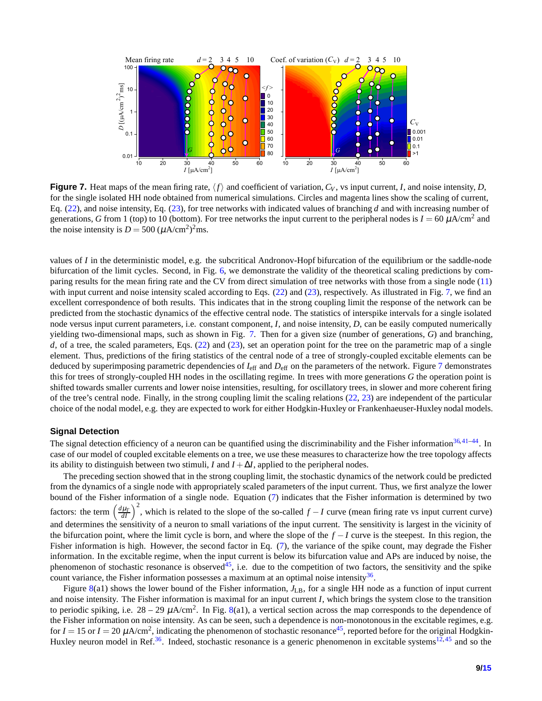<span id="page-8-0"></span>

**Figure 7.** Heat maps of the mean firing rate,  $\langle f \rangle$  and coefficient of variation,  $C_V$ , vs input current, *I*, and noise intensity, *D*, for the single isolated HH node obtained from numerical simulations. Circles and magenta lines show the scaling of current, Eq. [\(22\)](#page-7-2), and noise intensity, Eq. [\(23\)](#page-7-3), for tree networks with indicated values of branching *d* and with increasing number of generations, *G* from 1 (top) to 10 (bottom). For tree networks the input current to the peripheral nodes is  $I = 60 \mu A/cm^2$  and the noise intensity is  $D = 500 \ (\mu A/cm^2)^2 \text{ms}.$ 

values of *I* in the deterministic model, e.g. the subcritical Andronov-Hopf bifurcation of the equilibrium or the saddle-node bifurcation of the limit cycles. Second, in Fig. [6,](#page-7-4) we demonstrate the validity of the theoretical scaling predictions by comparing results for the mean firing rate and the CV from direct simulation of tree networks with those from a single node [\(11\)](#page-5-3) with input current and noise intensity scaled according to Eqs. [\(22\)](#page-7-2) and [\(23\)](#page-7-3), respectively. As illustrated in Fig. [7,](#page-8-0) we find an excellent correspondence of both results. This indicates that in the strong coupling limit the response of the network can be predicted from the stochastic dynamics of the effective central node. The statistics of interspike intervals for a single isolated node versus input current parameters, i.e. constant component, *I*, and noise intensity, *D*, can be easily computed numerically yielding two-dimensional maps, such as shown in Fig. [7.](#page-8-0) Then for a given size (number of generations, *G*) and branching, *d*, of a tree, the scaled parameters, Eqs. [\(22\)](#page-7-2) and [\(23\)](#page-7-3), set an operation point for the tree on the parametric map of a single element. Thus, predictions of the firing statistics of the central node of a tree of strongly-coupled excitable elements can be deduced by superimposing parametric dependencies of *I*eff and *D*eff on the parameters of the network. Figure [7](#page-8-0) demonstrates this for trees of strongly-coupled HH nodes in the oscillating regime. In trees with more generations *G* the operation point is shifted towards smaller currents and lower noise intensities, resulting, for oscillatory trees, in slower and more coherent firing of the tree's central node. Finally, in the strong coupling limit the scaling relations [\(22,](#page-7-2) [23\)](#page-7-3) are independent of the particular choice of the nodal model, e.g. they are expected to work for either Hodgkin-Huxley or Frankenhaeuser-Huxley nodal models.

## **Signal Detection**

The signal detection efficiency of a neuron can be quantified using the discriminability and the Fisher information $36,41-44$  $36,41-44$  $36,41-44$ . In case of our model of coupled excitable elements on a tree, we use these measures to characterize how the tree topology affects its ability to distinguish between two stimuli, *I* and  $I + \Delta I$ , applied to the peripheral nodes.

The preceding section showed that in the strong coupling limit, the stochastic dynamics of the network could be predicted from the dynamics of a single node with appropriately scaled parameters of the input current. Thus, we first analyze the lower bound of the Fisher information of a single node. Equation [\(7\)](#page-2-1) indicates that the Fisher information is determined by two factors: the term  $\left(\frac{d\mu_T}{dt}\right)^2$ , which is related to the slope of the so-called  $f - I$  curve (mean firing rate vs input current curve) and determines the sensitivity of a neuron to small variations of the input current. The sensitivity is largest in the vicinity of the bifurcation point, where the limit cycle is born, and where the slope of the *f* −*I* curve is the steepest. In this region, the Fisher information is high. However, the second factor in Eq. [\(7\)](#page-2-1), the variance of the spike count, may degrade the Fisher information. In the excitable regime, when the input current is below its bifurcation value and APs are induced by noise, the phenomenon of stochastic resonance is observed<sup>[45](#page-12-14)</sup>, i.e. due to the competition of two factors, the sensitivity and the spike count variance, the Fisher information possesses a maximum at an optimal noise intensity $36$ .

Figure [8\(](#page-9-0)a1) shows the lower bound of the Fisher information,  $J_{LB}$ , for a single HH node as a function of input current and noise intensity. The Fisher information is maximal for an input current *I*, which brings the system close to the transition to periodic spiking, i.e.  $28 - 29 \mu A/cm^2$ . In Fig. [8\(](#page-9-0)a1), a vertical section across the map corresponds to the dependence of the Fisher information on noise intensity. As can be seen, such a dependence is non-monotonous in the excitable regimes, e.g. for  $I = 15$  or  $I = 20 \mu A/cm^2$ , indicating the phenomenon of stochastic resonance<sup>[45](#page-12-14)</sup>, reported before for the original Hodgkin-Huxley neuron model in Ref.<sup>[36](#page-12-8)</sup>. Indeed, stochastic resonance is a generic phenomenon in excitable systems<sup>[12,](#page-11-17)[45](#page-12-14)</sup> and so the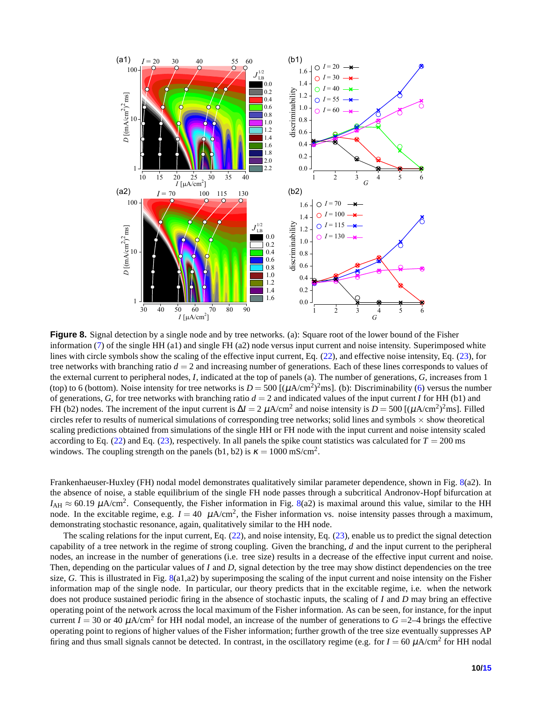<span id="page-9-0"></span>

**Figure 8.** Signal detection by a single node and by tree networks. (a): Square root of the lower bound of the Fisher information [\(7\)](#page-2-1) of the single HH (a1) and single FH (a2) node versus input current and noise intensity. Superimposed white lines with circle symbols show the scaling of the effective input current, Eq. [\(22\)](#page-7-2), and effective noise intensity, Eq. [\(23\)](#page-7-3), for tree networks with branching ratio  $d = 2$  and increasing number of generations. Each of these lines corresponds to values of the external current to peripheral nodes, *I*, indicated at the top of panels (a). The number of generations, *G*, increases from 1 (top) to 6 (bottom). Noise intensity for tree networks is  $D = 500$  [ $(\mu A/cm^2)^2$ ms]. (b): Discriminability [\(6\)](#page-2-0) versus the number of generations, *G*, for tree networks with branching ratio *d* = 2 and indicated values of the input current *I* for HH (b1) and FH (b2) nodes. The increment of the input current is  $\Delta I = 2 \mu A/cm^2$  and noise intensity is  $D = 500 [(\mu A/cm^2)^2 ms]$ . Filled circles refer to results of numerical simulations of corresponding tree networks; solid lines and symbols  $\times$  show theoretical scaling predictions obtained from simulations of the single HH or FH node with the input current and noise intensity scaled according to Eq.  $(22)$  and Eq.  $(23)$ , respectively. In all panels the spike count statistics was calculated for  $T = 200$  ms windows. The coupling strength on the panels (b1, b2) is  $\kappa = 1000 \text{ mS/cm}^2$ .

Frankenhaeuser-Huxley (FH) nodal model demonstrates qualitatively similar parameter dependence, shown in Fig. [8\(](#page-9-0)a2). In the absence of noise, a stable equilibrium of the single FH node passes through a subcritical Andronov-Hopf bifurcation at  $I_{\text{AH}} \approx 60.19 \ \mu \text{A/cm}^2$ . Consequently, the Fisher information in Fig. [8\(](#page-9-0)a2) is maximal around this value, similar to the HH node. In the excitable regime, e.g.  $I = 40 \mu A/cm^2$ , the Fisher information vs. noise intensity passes through a maximum, demonstrating stochastic resonance, again, qualitatively similar to the HH node.

The scaling relations for the input current, Eq. [\(22\)](#page-7-2), and noise intensity, Eq. [\(23\)](#page-7-3), enable us to predict the signal detection capability of a tree network in the regime of strong coupling. Given the branching, *d* and the input current to the peripheral nodes, an increase in the number of generations (i.e. tree size) results in a decrease of the effective input current and noise. Then, depending on the particular values of *I* and *D*, signal detection by the tree may show distinct dependencies on the tree size, *G*. This is illustrated in Fig. [8\(](#page-9-0)a1,a2) by superimposing the scaling of the input current and noise intensity on the Fisher information map of the single node. In particular, our theory predicts that in the excitable regime, i.e. when the network does not produce sustained periodic firing in the absence of stochastic inputs, the scaling of *I* and *D* may bring an effective operating point of the network across the local maximum of the Fisher information. As can be seen, for instance, for the input current  $I = 30$  or 40  $\mu$ A/cm<sup>2</sup> for HH nodal model, an increase of the number of generations to  $G = 2-4$  brings the effective operating point to regions of higher values of the Fisher information; further growth of the tree size eventually suppresses AP firing and thus small signals cannot be detected. In contrast, in the oscillatory regime (e.g. for  $I = 60 \mu A/cm^2$  for HH nodal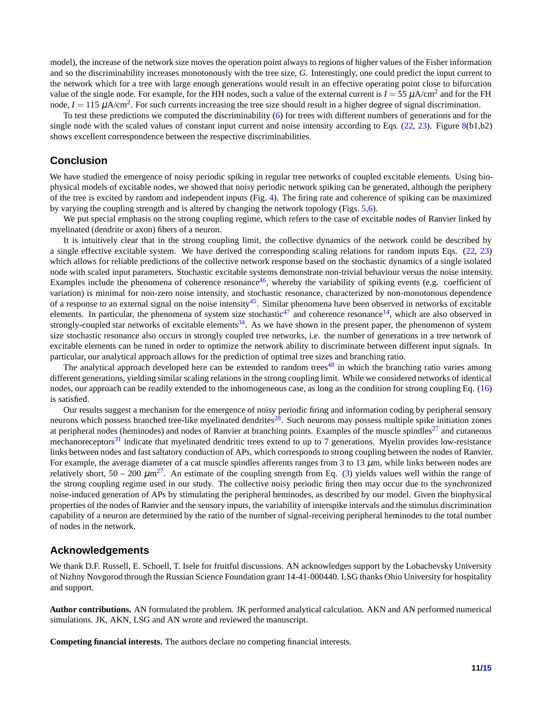model), the increase of the network size moves the operation point always to regions of higher values of the Fisher information and so the discriminability increases monotonously with the tree size, *G*. Interestingly, one could predict the input current to the network which for a tree with large enough generations would result in an effective operating point close to bifurcation value of the single node. For example, for the HH nodes, such a value of the external current is  $I = 55 \mu A/cm^2$  and for the FH node,  $I = 115 \mu A/cm^2$ . For such currents increasing the tree size should result in a higher degree of signal discrimination.

To test these predictions we computed the discriminability [\(6\)](#page-2-0) for trees with different numbers of generations and for the single node with the scaled values of constant input current and noise intensity according to Eqs.  $(22, 23)$  $(22, 23)$  $(22, 23)$ . Figure [8\(](#page-9-0)b1,b2) shows excellent correspondence between the respective discriminabilities.

# **Conclusion**

We have studied the emergence of noisy periodic spiking in regular tree networks of coupled excitable elements. Using biophysical models of excitable nodes, we showed that noisy periodic network spiking can be generated, although the periphery of the tree is excited by random and independent inputs (Fig. [4\)](#page-5-0). The firing rate and coherence of spiking can be maximized by varying the coupling strength and is altered by changing the network topology (Figs. [5,](#page-6-0)[6\)](#page-7-4).

We put special emphasis on the strong coupling regime, which refers to the case of excitable nodes of Ranvier linked by myelinated (dendrite or axon) fibers of a neuron.

It is intuitively clear that in the strong coupling limit, the collective dynamics of the network could be described by a single effective excitable system. We have derived the corresponding scaling relations for random inputs Eqs. [\(22,](#page-7-2) [23\)](#page-7-3) which allows for reliable predictions of the collective network response based on the stochastic dynamics of a single isolated node with scaled input parameters. Stochastic excitable systems demonstrate non-trivial behaviour versus the noise intensity. Examples include the phenomena of coherence resonance<sup>[46](#page-12-15)</sup>, whereby the variability of spiking events (e.g. coefficient of variation) is minimal for non-zero noise intensity, and stochastic resonance, characterized by non-monotonous dependence of a response to an external signal on the noise intensity<sup>[45](#page-12-14)</sup>. Similar phenomena have been observed in networks of excitable elements. In particular, the phenomena of system size stochastic<sup>[47](#page-12-16)</sup> and coherence resonance<sup>[14](#page-11-9)</sup>, which are also observed in strongly-coupled star networks of excitable elements<sup>[34](#page-12-6)</sup>. As we have shown in the present paper, the phenomenon of system size stochastic resonance also occurs in strongly coupled tree networks, i.e. the number of generations in a tree network of excitable elements can be tuned in order to optimize the network ability to discriminate between different input signals. In particular, our analytical approach allows for the prediction of optimal tree sizes and branching ratio.

The analytical approach developed here can be extended to random trees<sup>[48](#page-12-17)</sup> in which the branching ratio varies among different generations, yielding similar scaling relations in the strong coupling limit. While we considered networks of identical nodes, our approach can be readily extended to the inhomogeneous case, as long as the condition for strong coupling Eq. [\(16\)](#page-6-1) is satisfied.

Our results suggest a mechanism for the emergence of noisy periodic firing and information coding by peripheral sensory neurons which possess branched tree-like myelinated dendrites<sup>[28](#page-12-5)</sup>. Such neurons may possess multiple spike initiation zones at peripheral nodes (heminodes) and nodes of Ranvier at branching points. Examples of the muscle spindles<sup>[27](#page-11-18)</sup> and cutaneous mechanoreceptors<sup>[31](#page-12-2)</sup> indicate that myelinated dendritic trees extend to up to 7 generations. Myelin provides low-resistance links between nodes and fast saltatory conduction of APs, which corresponds to strong coupling between the nodes of Ranvier. For example, the average diameter of a cat muscle spindles afferents ranges from 3 to 13  $\mu$ m, while links between nodes are relatively short,  $50 - 200 \mu m^{27}$  $50 - 200 \mu m^{27}$  $50 - 200 \mu m^{27}$ . An estimate of the coupling strength from Eq. [\(3\)](#page-2-3) yields values well within the range of the strong coupling regime used in our study. The collective noisy periodic firing then may occur due to the synchronized noise-induced generation of APs by stimulating the peripheral heminodes, as described by our model. Given the biophysical properties of the nodes of Ranvier and the sensory inputs, the variability of interspike intervals and the stimulus discrimination capability of a neuron are determined by the ratio of the number of signal-receiving peripheral heminodes to the total number of nodes in the network.

# **Acknowledgements**

We thank D.F. Russell, E. Schoell, T. Isele for fruitful discussions. AN acknowledges support by the Lobachevsky University of Nizhny Novgorod through the Russian Science Foundation grant 14-41-000440. LSG thanks Ohio University for hospitality and support.

**Author contributions.** AN formulated the problem. JK performed analytical calculation. AKN and AN performed numerical simulations. JK, AKN, LSG and AN wrote and reviewed the manuscript.

**Competing financial interests.** The authors declare no competing financial interests.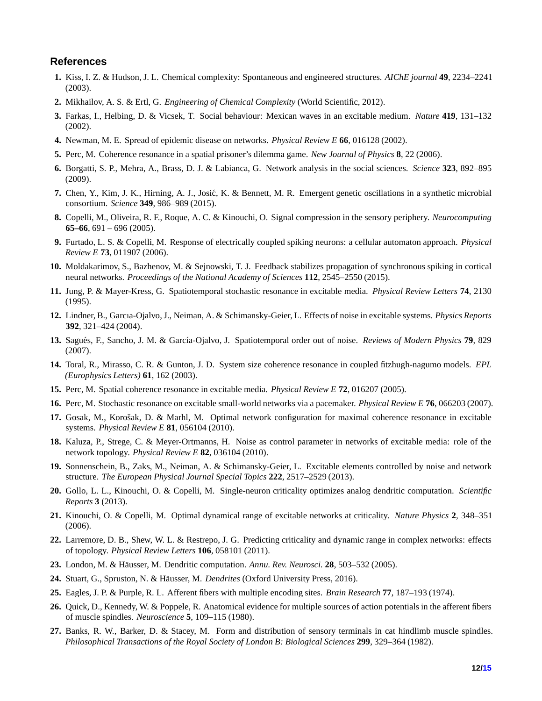# <span id="page-11-0"></span>**References**

- <span id="page-11-1"></span>**1.** Kiss, I. Z. & Hudson, J. L. Chemical complexity: Spontaneous and engineered structures. *AIChE journal* **49**, 2234–2241 (2003).
- <span id="page-11-2"></span>**2.** Mikhailov, A. S. & Ertl, G. *Engineering of Chemical Complexity* (World Scientific, 2012).
- **3.** Farkas, I., Helbing, D. & Vicsek, T. Social behaviour: Mexican waves in an excitable medium. *Nature* **419**, 131–132 (2002).
- **4.** Newman, M. E. Spread of epidemic disease on networks. *Physical Review E* **66**, 016128 (2002).
- <span id="page-11-3"></span>**5.** Perc, M. Coherence resonance in a spatial prisoner's dilemma game. *New Journal of Physics* **8**, 22 (2006).
- <span id="page-11-4"></span>**6.** Borgatti, S. P., Mehra, A., Brass, D. J. & Labianca, G. Network analysis in the social sciences. *Science* **323**, 892–895 (2009).
- <span id="page-11-5"></span>**7.** Chen, Y., Kim, J. K., Hirning, A. J., Josić, K. & Bennett, M. R. Emergent genetic oscillations in a synthetic microbial consortium. *Science* **349**, 986–989 (2015).
- **8.** Copelli, M., Oliveira, R. F., Roque, A. C. & Kinouchi, O. Signal compression in the sensory periphery. *Neurocomputing* **65–66**, 691 – 696 (2005).
- <span id="page-11-6"></span>**9.** Furtado, L. S. & Copelli, M. Response of electrically coupled spiking neurons: a cellular automaton approach. *Physical Review E* **73**, 011907 (2006).
- <span id="page-11-7"></span>**10.** Moldakarimov, S., Bazhenov, M. & Sejnowski, T. J. Feedback stabilizes propagation of synchronous spiking in cortical neural networks. *Proceedings of the National Academy of Sciences* **112**, 2545–2550 (2015).
- <span id="page-11-17"></span>**11.** Jung, P. & Mayer-Kress, G. Spatiotemporal stochastic resonance in excitable media. *Physical Review Letters* **74**, 2130 (1995).
- <span id="page-11-8"></span>**12.** Lindner, B., Garcıa-Ojalvo, J., Neiman, A. & Schimansky-Geier, L. Effects of noise in excitable systems. *Physics Reports* **392**, 321–424 (2004).
- <span id="page-11-9"></span>13. Sagués, F., Sancho, J. M. & García-Ojalvo, J. Spatiotemporal order out of noise. *Reviews of Modern Physics* 79, 829 (2007).
- **14.** Toral, R., Mirasso, C. R. & Gunton, J. D. System size coherence resonance in coupled fitzhugh-nagumo models. *EPL (Europhysics Letters)* **61**, 162 (2003).
- **15.** Perc, M. Spatial coherence resonance in excitable media. *Physical Review E* **72**, 016207 (2005).
- **16.** Perc, M. Stochastic resonance on excitable small-world networks via a pacemaker. *Physical Review E* **76**, 066203 (2007).
- 17. Gosak, M., Korošak, D. & Marhl, M. Optimal network configuration for maximal coherence resonance in excitable systems. *Physical Review E* **81**, 056104 (2010).
- <span id="page-11-10"></span>**18.** Kaluza, P., Strege, C. & Meyer-Ortmanns, H. Noise as control parameter in networks of excitable media: role of the network topology. *Physical Review E* **82**, 036104 (2010).
- <span id="page-11-11"></span>**19.** Sonnenschein, B., Zaks, M., Neiman, A. & Schimansky-Geier, L. Excitable elements controlled by noise and network structure. *The European Physical Journal Special Topics* **222**, 2517–2529 (2013).
- **20.** Gollo, L. L., Kinouchi, O. & Copelli, M. Single-neuron criticality optimizes analog dendritic computation. *Scientific Reports* **3** (2013).
- <span id="page-11-12"></span>**21.** Kinouchi, O. & Copelli, M. Optimal dynamical range of excitable networks at criticality. *Nature Physics* **2**, 348–351 (2006).
- **22.** Larremore, D. B., Shew, W. L. & Restrepo, J. G. Predicting criticality and dynamic range in complex networks: effects of topology. *Physical Review Letters* **106**, 058101 (2011).
- <span id="page-11-14"></span><span id="page-11-13"></span>**23.** London, M. & H¨ausser, M. Dendritic computation. *Annu. Rev. Neurosci.* **28**, 503–532 (2005).
- <span id="page-11-15"></span>24. Stuart, G., Spruston, N. & Häusser, M. *Dendrites* (Oxford University Press, 2016).
- <span id="page-11-16"></span>**25.** Eagles, J. P. & Purple, R. L. Afferent fibers with multiple encoding sites. *Brain Research* **77**, 187–193 (1974).
- **26.** Quick, D., Kennedy, W. & Poppele, R. Anatomical evidence for multiple sources of action potentials in the afferent fibers of muscle spindles. *Neuroscience* **5**, 109–115 (1980).
- <span id="page-11-18"></span>**27.** Banks, R. W., Barker, D. & Stacey, M. Form and distribution of sensory terminals in cat hindlimb muscle spindles. *Philosophical Transactions of the Royal Society of London B: Biological Sciences* **299**, 329–364 (1982).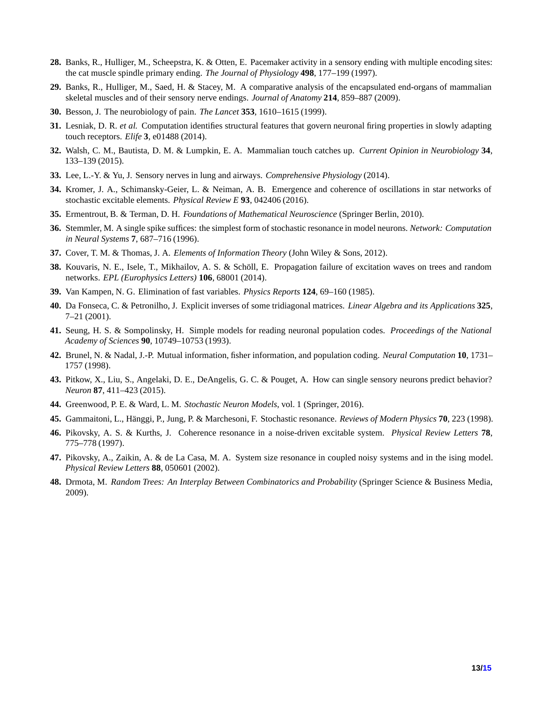- <span id="page-12-5"></span><span id="page-12-0"></span>**28.** Banks, R., Hulliger, M., Scheepstra, K. & Otten, E. Pacemaker activity in a sensory ending with multiple encoding sites: the cat muscle spindle primary ending. *The Journal of Physiology* **498**, 177–199 (1997).
- <span id="page-12-1"></span>**29.** Banks, R., Hulliger, M., Saed, H. & Stacey, M. A comparative analysis of the encapsulated end-organs of mammalian skeletal muscles and of their sensory nerve endings. *Journal of Anatomy* **214**, 859–887 (2009).
- <span id="page-12-2"></span>**30.** Besson, J. The neurobiology of pain. *The Lancet* **353**, 1610–1615 (1999).
- <span id="page-12-3"></span>**31.** Lesniak, D. R. *et al.* Computation identifies structural features that govern neuronal firing properties in slowly adapting touch receptors. *Elife* **3**, e01488 (2014).
- <span id="page-12-4"></span>**32.** Walsh, C. M., Bautista, D. M. & Lumpkin, E. A. Mammalian touch catches up. *Current Opinion in Neurobiology* **34**, 133–139 (2015).
- <span id="page-12-6"></span>**33.** Lee, L.-Y. & Yu, J. Sensory nerves in lung and airways. *Comprehensive Physiology* (2014).
- <span id="page-12-7"></span>**34.** Kromer, J. A., Schimansky-Geier, L. & Neiman, A. B. Emergence and coherence of oscillations in star networks of stochastic excitable elements. *Physical Review E* **93**, 042406 (2016).
- <span id="page-12-8"></span>**35.** Ermentrout, B. & Terman, D. H. *Foundations of Mathematical Neuroscience* (Springer Berlin, 2010).
- <span id="page-12-9"></span>**36.** Stemmler, M. A single spike suffices: the simplest form of stochastic resonance in model neurons. *Network: Computation in Neural Systems* **7**, 687–716 (1996).
- <span id="page-12-10"></span>**37.** Cover, T. M. & Thomas, J. A. *Elements of Information Theory* (John Wiley & Sons, 2012).
- <span id="page-12-11"></span>**38.** Kouvaris, N. E., Isele, T., Mikhailov, A. S. & Schöll, E. Propagation failure of excitation waves on trees and random networks. *EPL (Europhysics Letters)* **106**, 68001 (2014).
- **39.** Van Kampen, N. G. Elimination of fast variables. *Physics Reports* **124**, 69–160 (1985).
- <span id="page-12-12"></span>**40.** Da Fonseca, C. & Petronilho, J. Explicit inverses of some tridiagonal matrices. *Linear Algebra and its Applications* **325**, 7–21 (2001).
- **41.** Seung, H. S. & Sompolinsky, H. Simple models for reading neuronal population codes. *Proceedings of the National Academy of Sciences* **90**, 10749–10753 (1993).
- **42.** Brunel, N. & Nadal, J.-P. Mutual information, fisher information, and population coding. *Neural Computation* **10**, 1731– 1757 (1998).
- <span id="page-12-13"></span>**43.** Pitkow, X., Liu, S., Angelaki, D. E., DeAngelis, G. C. & Pouget, A. How can single sensory neurons predict behavior? *Neuron* **87**, 411–423 (2015).
- <span id="page-12-14"></span>**44.** Greenwood, P. E. & Ward, L. M. *Stochastic Neuron Models*, vol. 1 (Springer, 2016).
- <span id="page-12-15"></span>**45.** Gammaitoni, L., Hänggi, P., Jung, P. & Marchesoni, F. Stochastic resonance. *Reviews of Modern Physics* **70**, 223 (1998).
- <span id="page-12-16"></span>**46.** Pikovsky, A. S. & Kurths, J. Coherence resonance in a noise-driven excitable system. *Physical Review Letters* **78**, 775–778 (1997).
- <span id="page-12-17"></span>**47.** Pikovsky, A., Zaikin, A. & de La Casa, M. A. System size resonance in coupled noisy systems and in the ising model. *Physical Review Letters* **88**, 050601 (2002).
- **48.** Drmota, M. *Random Trees: An Interplay Between Combinatorics and Probability* (Springer Science & Business Media, 2009).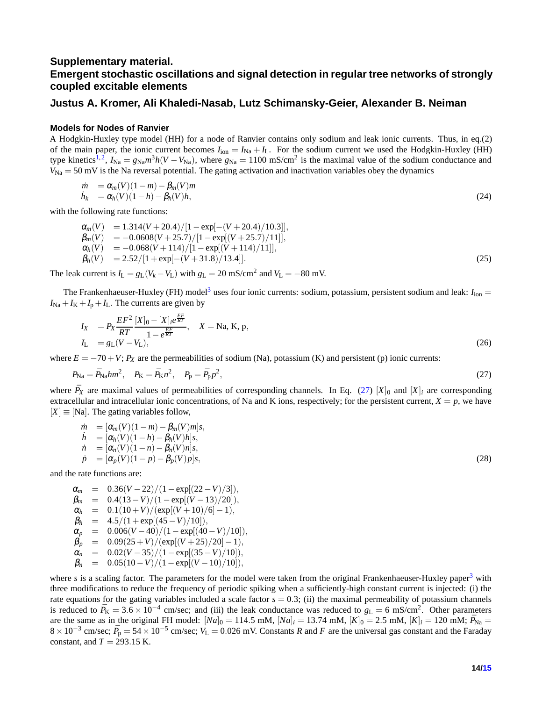# **Supplementary material. Emergent stochastic oscillations and signal detection in regular tree networks of strongly coupled excitable elements**

## **Justus A. Kromer, Ali Khaledi-Nasab, Lutz Schimansky-Geier, Alexander B. Neiman**

## **Models for Nodes of Ranvier**

A Hodgkin-Huxley type model (HH) for a node of Ranvier contains only sodium and leak ionic currents. Thus, in eq.(2) of the main paper, the ionic current becomes  $I_{\text{ion}} = I_{\text{Na}} + I_L$ . For the sodium current we used the Hodgkin-Huxley (HH) type kinetics<sup>[1,](#page-14-2)[2](#page-14-3)</sup>,  $I_{\text{Na}} = g_{\text{Na}} m^3 h (V - V_{\text{Na}})$ , where  $g_{\text{Na}} = 1100 \text{ mS/cm}^2$  is the maximal value of the sodium conductance and  $V_{\text{Na}} = 50$  mV is the Na reversal potential. The gating activation and inactivation variables obey the dynamics

$$
\begin{array}{ll}\n\dot{m} &= \alpha_m(V)(1-m) - \beta_m(V)m \\
\dot{h}_k &= \alpha_h(V)(1-h) - \beta_h(V)h,\n\end{array}\n\tag{24}
$$

with the following rate functions:

$$
\alpha_m(V) = 1.314(V + 20.4)/[1 - \exp[-(V + 20.4)/10.3]],\n\beta_m(V) = -0.0608(V + 25.7)/[1 - \exp[(V + 25.7)/11]],\n\alpha_h(V) = -0.068(V + 114)/[1 - \exp[(V + 114)/11]],\n\beta_h(V) = 2.52/[1 + \exp[-(V + 31.8)/13.4]].
$$
\n(25)

The leak current is  $I_L = g_L(V_k - V_L)$  with  $g_L = 20 \text{ mS/cm}^2$  and  $V_L = -80 \text{ mV}$ .

The Frankenhaeuser-Huxley (FH) model<sup>[3](#page-14-4)</sup> uses four ionic currents: sodium, potassium, persistent sodium and leak:  $I_{\text{ion}} =$  $I_{\text{Na}} + I_{\text{K}} + I_{\text{p}} + I_{\text{L}}$ . The currents are given by

<span id="page-13-0"></span>
$$
I_X = P_X \frac{EF^2}{RT} \frac{[X]_0 - [X]_i e^{\frac{EF}{RT}}}{1 - e^{\frac{EF}{RT}}}, \quad X = \text{Na}, \text{K}, \text{p},
$$
  

$$
I_L = g_L(V - V_L), \tag{26}
$$

where  $E = -70 + V$ ;  $P_X$  are the permeabilities of sodium (Na), potassium (K) and persistent (p) ionic currents:

$$
P_{\text{Na}} = \bar{P}_{\text{Na}} h m^2, \quad P_{\text{K}} = \bar{P}_{\text{K}} n^2, \quad P_{\text{p}} = \bar{P}_{\text{p}} p^2,\tag{27}
$$

where  $\bar{P}_X$  are maximal values of permeabilities of corresponding channels. In Eq. [\(27\)](#page-13-0)  $[X]_0$  and  $[X]_i$  are corresponding extracellular and intracellular ionic concentrations, of Na and K ions, respectively; for the persistent current,  $X = p$ , we have  $[X] \equiv [Na]$ . The gating variables follow,

$$
\begin{array}{ll}\n\dot{m} &= [\alpha_m(V)(1-m) - \beta_m(V)m]s, \\
\dot{h} &= [\alpha_h(V)(1-h) - \beta_h(V)h]s, \\
\dot{n} &= [\alpha_n(V)(1-n) - \beta_n(V)n]s, \\
\dot{p} &= [\alpha_p(V)(1-p) - \beta_p(V)p]s,\n\end{array} \tag{28}
$$

and the rate functions are:

$$
\alpha_m = 0.36(V-22)/(1-\exp[(22-V)/3]),\n\beta_m = 0.4(13-V)/(1-\exp[(V-13)/20]),\n\alpha_h = 0.1(10+V)/(exp[(V+10)/6]-1),\n\beta_h = 4.5/(1+\exp[(45-V)/10]),\n\alpha_p = 0.006(V-40)/(1-\exp[(40-V)/10]),\n\beta_p = 0.09(25+V)/(\exp[(V+25)/20]-1),\n\alpha_n = 0.02(V-35)/(1-\exp[(35-V)/10]),\n\beta_n = 0.05(10-V)/(1-\exp[(V-10)/10]),
$$

where *s* is a scaling factor. The parameters for the model were taken from the original Frankenhaeuser-Huxley paper<sup>[3](#page-14-4)</sup> with three modifications to reduce the frequency of periodic spiking when a sufficiently-high constant current is injected: (i) the rate equations for the gating variables included a scale factor  $s = 0.3$ ; (ii) the maximal permeability of potassium channels is reduced to  $\bar{P}_{K} = 3.6 \times 10^{-4}$  cm/sec; and (iii) the leak conductance was reduced to  $g_{L} = 6$  mS/cm<sup>2</sup>. Other parameters are the same as in the original FH model:  $[Na]_0 = 114.5$  mM,  $[Na]_i = 13.74$  mM,  $[K]_0 = 2.5$  mM,  $[K]_i = 120$  mM;  $\bar{P}_{Na} =$  $8 \times 10^{-3}$  cm/sec;  $\bar{P}_{p} = 54 \times 10^{-5}$  cm/sec;  $V_{L} = 0.026$  mV. Constants *R* and *F* are the universal gas constant and the Faraday constant, and  $T = 293.15$  K.